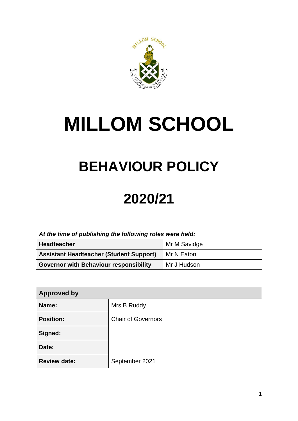

# **MILLOM SCHOOL**

# **BEHAVIOUR POLICY**

# **2020/21**

| At the time of publishing the following roles were held: |              |  |
|----------------------------------------------------------|--------------|--|
| <b>Headteacher</b>                                       | Mr M Savidge |  |
| <b>Assistant Headteacher (Student Support)</b>           | Mr N Eaton   |  |
| <b>Governor with Behaviour responsibility</b>            | Mr J Hudson  |  |

| <b>Approved by</b>  |                           |
|---------------------|---------------------------|
| Name:               | Mrs B Ruddy               |
| <b>Position:</b>    | <b>Chair of Governors</b> |
| Signed:             |                           |
| Date:               |                           |
| <b>Review date:</b> | September 2021            |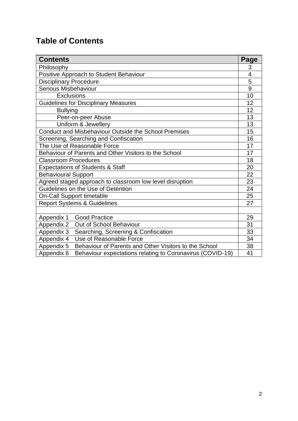# **Table of Contents**

| <b>Contents</b>                                                         | <b>Page</b>    |
|-------------------------------------------------------------------------|----------------|
| Philosophy                                                              | 3              |
| Positive Approach to Student Behaviour                                  | 4              |
| <b>Disciplinary Procedure</b>                                           | 5              |
| Serious Misbehaviour                                                    | $\overline{9}$ |
| <b>Exclusions</b>                                                       | 10             |
| <b>Guidelines for Disciplinary Measures</b>                             | 12             |
| <b>Bullying</b>                                                         | 12             |
| Peer-on-peer Abuse                                                      | 13             |
| Uniform & Jewellery                                                     | 13             |
| <b>Conduct and Misbehaviour Outside the School Premises</b>             | 15             |
| Screening, Searching and Confiscation                                   |                |
| The Use of Reasonable Force                                             |                |
| Behaviour of Parents and Other Visitors to the School                   |                |
| <b>Classroom Procedures</b>                                             |                |
| <b>Expectations of Students &amp; Staff</b>                             |                |
| <b>Behavioural Support</b>                                              |                |
| Agreed staged approach to classroom low level disruption                |                |
| Guidelines on the Use of Detention                                      |                |
| <b>On-Call Support timetable</b>                                        |                |
| <b>Report Systems &amp; Guidelines</b>                                  |                |
|                                                                         |                |
| <b>Good Practice</b><br>Appendix 1                                      | 29             |
| Appendix 2<br>Out of School Behaviour                                   | 31             |
| Searching, Screening & Confiscation<br>Appendix 3                       | 33             |
| Use of Reasonable Force<br>Appendix 4                                   | 34             |
| Behaviour of Parents and Other Visitors to the School<br>Appendix 5     | 38             |
| Behaviour expectations relating to Coronavirus (COVID-19)<br>Appendix 6 | 41             |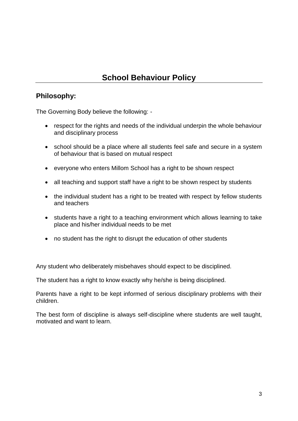# **School Behaviour Policy**

# **Philosophy:**

The Governing Body believe the following: -

- respect for the rights and needs of the individual underpin the whole behaviour and disciplinary process
- school should be a place where all students feel safe and secure in a system of behaviour that is based on mutual respect
- everyone who enters Millom School has a right to be shown respect
- all teaching and support staff have a right to be shown respect by students
- the individual student has a right to be treated with respect by fellow students and teachers
- students have a right to a teaching environment which allows learning to take place and his/her individual needs to be met
- no student has the right to disrupt the education of other students

Any student who deliberately misbehaves should expect to be disciplined.

The student has a right to know exactly why he/she is being disciplined.

Parents have a right to be kept informed of serious disciplinary problems with their children.

The best form of discipline is always self-discipline where students are well taught, motivated and want to learn.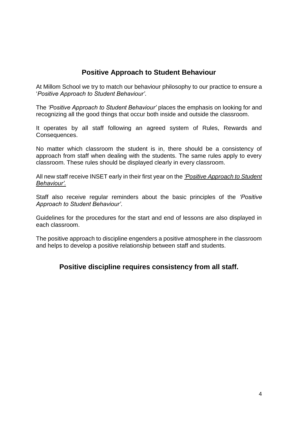# **Positive Approach to Student Behaviour**

At Millom School we try to match our behaviour philosophy to our practice to ensure a '*Positive Approach to Student Behaviour'*.

The *'Positive Approach to Student Behaviour'* places the emphasis on looking for and recognizing all the good things that occur both inside and outside the classroom.

It operates by all staff following an agreed system of Rules, Rewards and Consequences.

No matter which classroom the student is in, there should be a consistency of approach from staff when dealing with the students. The same rules apply to every classroom. These rules should be displayed clearly in every classroom.

All new staff receive INSET early in their first year on the *'Positive Approach to Student Behaviour'.*

Staff also receive regular reminders about the basic principles of the *'Positive Approach to Student Behaviour'*.

Guidelines for the procedures for the start and end of lessons are also displayed in each classroom.

The positive approach to discipline engenders a positive atmosphere in the classroom and helps to develop a positive relationship between staff and students.

## **Positive discipline requires consistency from all staff.**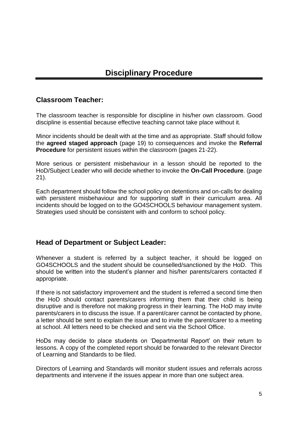# **Classroom Teacher:**

The classroom teacher is responsible for discipline in his/her own classroom. Good discipline is essential because effective teaching cannot take place without it.

Minor incidents should be dealt with at the time and as appropriate. Staff should follow the **agreed staged approach** (page 19) to consequences and invoke the **Referral Procedure** for persistent issues within the classroom (pages 21-22).

More serious or persistent misbehaviour in a lesson should be reported to the HoD/Subject Leader who will decide whether to invoke the **On-Call Procedure**. (page 21).

Each department should follow the school policy on detentions and on-calls for dealing with persistent misbehaviour and for supporting staff in their curriculum area. All incidents should be logged on to the GO4SCHOOLS behaviour management system. Strategies used should be consistent with and conform to school policy.

## **Head of Department or Subject Leader:**

Whenever a student is referred by a subject teacher, it should be logged on GO4SCHOOLS and the student should be counselled/sanctioned by the HoD. This should be written into the student's planner and his/her parents/carers contacted if appropriate.

If there is not satisfactory improvement and the student is referred a second time then the HoD should contact parents/carers informing them that their child is being disruptive and is therefore not making progress in their learning. The HoD may invite parents/carers in to discuss the issue. If a parent/carer cannot be contacted by phone, a letter should be sent to explain the issue and to invite the parent/carer to a meeting at school. All letters need to be checked and sent via the School Office.

HoDs may decide to place students on 'Departmental Report' on their return to lessons. A copy of the completed report should be forwarded to the relevant Director of Learning and Standards to be filed.

Directors of Learning and Standards will monitor student issues and referrals across departments and intervene if the issues appear in more than one subject area.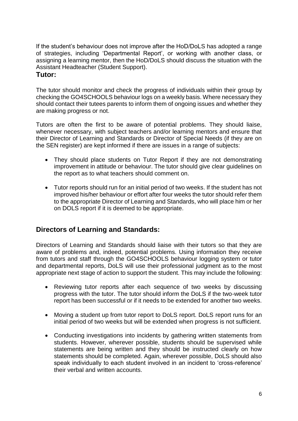If the student's behaviour does not improve after the HoD/DoLS has adopted a range of strategies, including 'Departmental Report', or working with another class, or assigning a learning mentor, then the HoD/DoLS should discuss the situation with the Assistant Headteacher (Student Support).

### **Tutor:**

The tutor should monitor and check the progress of individuals within their group by checking the GO4SCHOOLS behaviour logs on a weekly basis. Where necessary they should contact their tutees parents to inform them of ongoing issues and whether they are making progress or not.

Tutors are often the first to be aware of potential problems. They should liaise, whenever necessary, with subject teachers and/or learning mentors and ensure that their Director of Learning and Standards or Director of Special Needs (if they are on the SEN register) are kept informed if there are issues in a range of subjects:

- They should place students on Tutor Report if they are not demonstrating improvement in attitude or behaviour. The tutor should give clear guidelines on the report as to what teachers should comment on.
- Tutor reports should run for an initial period of two weeks. If the student has not improved his/her behaviour or effort after four weeks the tutor should refer them to the appropriate Director of Learning and Standards, who will place him or her on DOLS report if it is deemed to be appropriate.

## **Directors of Learning and Standards:**

Directors of Learning and Standards should liaise with their tutors so that they are aware of problems and, indeed, potential problems. Using information they receive from tutors and staff through the GO4SCHOOLS behaviour logging system or tutor and departmental reports, DoLS will use their professional judgment as to the most appropriate next stage of action to support the student. This may include the following:

- Reviewing tutor reports after each sequence of two weeks by discussing progress with the tutor. The tutor should inform the DoLS if the two-week tutor report has been successful or if it needs to be extended for another two weeks.
- Moving a student up from tutor report to DoLS report. DoLS report runs for an initial period of two weeks but will be extended when progress is not sufficient.
- Conducting investigations into incidents by gathering written statements from students. However, wherever possible, students should be supervised while statements are being written and they should be instructed clearly on how statements should be completed. Again, wherever possible, DoLS should also speak individually to each student involved in an incident to 'cross-reference' their verbal and written accounts.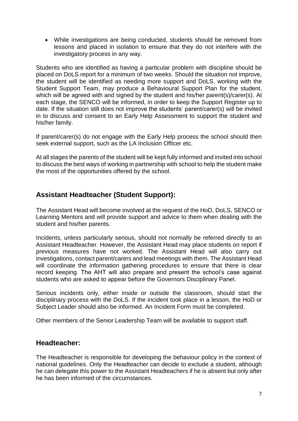• While investigations are being conducted, students should be removed from lessons and placed in isolation to ensure that they do not interfere with the investigatory process in any way.

Students who are identified as having a particular problem with discipline should be placed on DoLS report for a minimum of two weeks. Should the situation not improve, the student will be identified as needing more support and DoLS, working with the Student Support Team, may produce a Behavioural Support Plan for the student, which will be agreed with and signed by the student and his/her parent(s)/carer(s). At each stage, the SENCO will be informed, in order to keep the Support Register up to date. If the situation still does not improve the students' parent/carer(s) will be invited in to discuss and consent to an Early Help Assessment to support the student and his/her family.

If parent/carer(s) do not engage with the Early Help process the school should then seek external support, such as the LA Inclusion Officer etc.

At all stages the parents of the student will be kept fully informed and invited into school to discuss the best ways of working in partnership with school to help the student make the most of the opportunities offered by the school.

# **Assistant Headteacher (Student Support):**

The Assistant Head will become involved at the request of the HoD, DoLS, SENCO or Learning Mentors and will provide support and advice to them when dealing with the student and his/her parents.

Incidents, unless particularly serious, should not normally be referred directly to an Assistant Headteacher. However, the Assistant Head may place students on report if previous measures have not worked. The Assistant Head will also carry out investigations, contact parent/carers and lead meetings with them. The Assistant Head will coordinate the information gathering procedures to ensure that there is clear record keeping. The AHT will also prepare and present the school's case against students who are asked to appear before the Governors Disciplinary Panel.

Serious incidents only, either inside or outside the classroom, should start the disciplinary process with the DoLS. If the incident took place in a lesson, the HoD or Subject Leader should also be informed. An Incident Form must be completed.

Other members of the Senior Leadership Team will be available to support staff.

## **Headteacher:**

The Headteacher is responsible for developing the behaviour policy in the context of national guidelines. Only the Headteacher can decide to exclude a student, although he can delegate this power to the Assistant Headteachers if he is absent but only after he has been informed of the circumstances.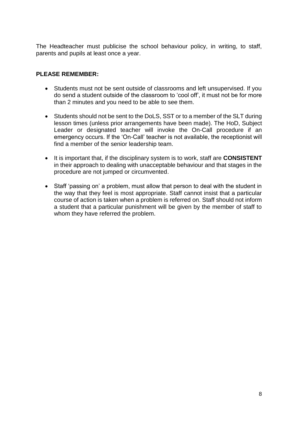The Headteacher must publicise the school behaviour policy, in writing, to staff, parents and pupils at least once a year.

#### **PLEASE REMEMBER:**

- Students must not be sent outside of classrooms and left unsupervised. If you do send a student outside of the classroom to 'cool off', it must not be for more than 2 minutes and you need to be able to see them.
- Students should not be sent to the DoLS, SST or to a member of the SLT during lesson times (unless prior arrangements have been made). The HoD, Subject Leader or designated teacher will invoke the On-Call procedure if an emergency occurs. If the 'On-Call' teacher is not available, the receptionist will find a member of the senior leadership team.
- It is important that, if the disciplinary system is to work, staff are **CONSISTENT** in their approach to dealing with unacceptable behaviour and that stages in the procedure are not jumped or circumvented.
- Staff 'passing on' a problem, must allow that person to deal with the student in the way that they feel is most appropriate. Staff cannot insist that a particular course of action is taken when a problem is referred on. Staff should not inform a student that a particular punishment will be given by the member of staff to whom they have referred the problem.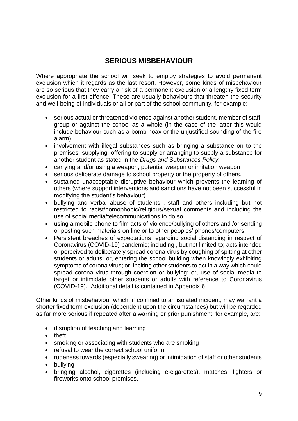# **SERIOUS MISBEHAVIOUR**

Where appropriate the school will seek to employ strategies to avoid permanent exclusion which it regards as the last resort. However, some kinds of misbehaviour are so serious that they carry a risk of a permanent exclusion or a lengthy fixed term exclusion for a first offence. These are usually behaviours that threaten the security and well-being of individuals or all or part of the school community, for example:

- serious actual or threatened violence against another student, member of staff, group or against the school as a whole (in the case of the latter this would include behaviour such as a bomb hoax or the unjustified sounding of the fire alarm)
- involvement with illegal substances such as bringing a substance on to the premises, supplying, offering to supply or arranging to supply a substance for another student as stated in the *Drugs and Substances Policy.*
- carrying and/or using a weapon, potential weapon or imitation weapon
- serious deliberate damage to school property or the property of others.
- sustained unacceptable disruptive behaviour which prevents the learning of others (where support interventions and sanctions have not been successful in modifying the student's behaviour)
- bullying and verbal abuse of students , staff and others including but not restricted to racist/homophobic/religious/sexual comments and including the use of social media/telecommunications to do so
- using a mobile phone to film acts of violence/bullying of others and /or sending or posting such materials on line or to other peoples' phones/computers
- Persistent breaches of expectations regarding social distancing in respect of Coronavirus (COVID-19) pandemic; including , but not limited to; acts intended or perceived to deliberately spread corona virus by coughing of spitting at other students or adults; or, entering the school building when knowingly exhibiting symptoms of corona virus; or, inciting other students to act in a way which could spread corona virus through coercion or bullying; or, use of social media to target or intimidate other students or adults with reference to Coronavirus (COVID-19). Additional detail is contained in Appendix 6

Other kinds of misbehaviour which, if confined to an isolated incident, may warrant a shorter fixed term exclusion (dependent upon the circumstances) but will be regarded as far more serious if repeated after a warning or prior punishment, for example, are:

- disruption of teaching and learning
- theft
- smoking or associating with students who are smoking
- refusal to wear the correct school uniform
- rudeness towards (especially swearing) or intimidation of staff or other students
- bullying
- bringing alcohol, cigarettes (including e-cigarettes), matches, lighters or fireworks onto school premises.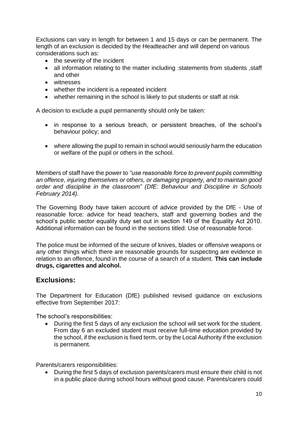Exclusions can vary in length for between 1 and 15 days or can be permanent. The length of an exclusion is decided by the Headteacher and will depend on various considerations such as:

- the severity of the incident
- all information relating to the matter including : statements from students, staff and other
- witnesses
- whether the incident is a repeated incident
- whether remaining in the school is likely to put students or staff at risk

A decision to exclude a pupil permanently should only be taken:

- in response to a serious breach, or persistent breaches, of the school's behaviour policy; and
- where allowing the pupil to remain in school would seriously harm the education or welfare of the pupil or others in the school.

Members of staff have the power to *"use reasonable force to prevent pupils committing an offence, injuring themselves or others, or damaging property, and to maintain good order and discipline in the classroom" (DfE: Behaviour and Discipline in Schools February 2014).*

The Governing Body have taken account of advice provided by the DfE - Use of reasonable force: advice for head teachers, staff and governing bodies and the school's public sector equality duty set out in section 149 of the Equality Act 2010. Additional information can be found in the sections titled: Use of reasonable force.

The police must be informed of the seizure of knives, blades or offensive weapons or any other things which there are reasonable grounds for suspecting are evidence in relation to an offence, found in the course of a search of a student. **This can include drugs, cigarettes and alcohol.**

## **Exclusions:**

The Department for Education (DfE) published revised guidance on exclusions effective from September 2017:

The school's responsibilities:

• During the first 5 days of any exclusion the school will set work for the student. From day 6 an excluded student must receive full-time education provided by the school, if the exclusion is fixed term, or by the Local Authority if the exclusion is permanent.

Parents/carers responsibilities:

• During the first 5 days of exclusion parents/carers must ensure their child is not in a public place during school hours without good cause. Parents/carers could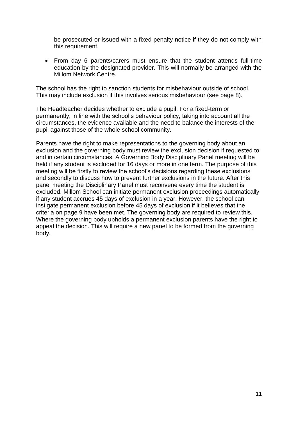be prosecuted or issued with a fixed penalty notice if they do not comply with this requirement.

• From day 6 parents/carers must ensure that the student attends full-time education by the designated provider. This will normally be arranged with the Millom Network Centre.

The school has the right to sanction students for misbehaviour outside of school. This may include exclusion if this involves serious misbehaviour (see page 8).

The Headteacher decides whether to exclude a pupil. For a fixed-term or permanently, in line with the school's behaviour policy, taking into account all the circumstances, the evidence available and the need to balance the interests of the pupil against those of the whole school community.

Parents have the right to make representations to the governing body about an exclusion and the governing body must review the exclusion decision if requested to and in certain circumstances. A Governing Body Disciplinary Panel meeting will be held if any student is excluded for 16 days or more in one term. The purpose of this meeting will be firstly to review the school's decisions regarding these exclusions and secondly to discuss how to prevent further exclusions in the future. After this panel meeting the Disciplinary Panel must reconvene every time the student is excluded. Millom School can initiate permanent exclusion proceedings automatically if any student accrues 45 days of exclusion in a year. However, the school can instigate permanent exclusion before 45 days of exclusion if it believes that the criteria on page 9 have been met. The governing body are required to review this. Where the governing body upholds a permanent exclusion parents have the right to appeal the decision. This will require a new panel to be formed from the governing body.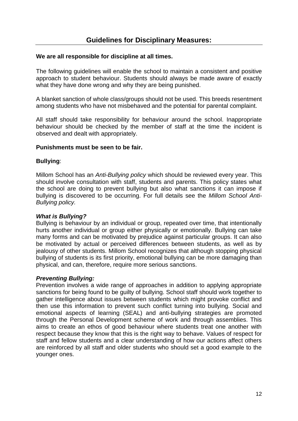#### **We are all responsible for discipline at all times.**

The following guidelines will enable the school to maintain a consistent and positive approach to student behaviour. Students should always be made aware of exactly what they have done wrong and why they are being punished.

A blanket sanction of whole class/groups should not be used. This breeds resentment among students who have not misbehaved and the potential for parental complaint.

All staff should take responsibility for behaviour around the school. Inappropriate behaviour should be checked by the member of staff at the time the incident is observed and dealt with appropriately.

#### **Punishments must be seen to be fair.**

#### **Bullying**:

Millom School has an *Anti-Bullying policy* which should be reviewed every year. This should involve consultation with staff, students and parents. This policy states what the school are doing to prevent bullying but also what sanctions it can impose if bullying is discovered to be occurring. For full details see the *Millom School Anti-Bullying policy.* 

#### *What is Bullying?*

Bullying is behaviour by an individual or group, repeated over time, that intentionally hurts another individual or group either physically or emotionally. Bullying can take many forms and can be motivated by prejudice against particular groups. It can also be motivated by actual or perceived differences between students, as well as by jealousy of other students. Millom School recognizes that although stopping physical bullying of students is its first priority, emotional bullying can be more damaging than physical, and can, therefore, require more serious sanctions.

#### *Preventing Bullying:*

Prevention involves a wide range of approaches in addition to applying appropriate sanctions for being found to be guilty of bullying. School staff should work together to gather intelligence about issues between students which might provoke conflict and then use this information to prevent such conflict turning into bullying. Social and emotional aspects of learning (SEAL) and anti-bullying strategies are promoted through the Personal Development scheme of work and through assemblies. This aims to create an ethos of good behaviour where students treat one another with respect because they know that this is the right way to behave. Values of respect for staff and fellow students and a clear understanding of how our actions affect others are reinforced by all staff and older students who should set a good example to the younger ones.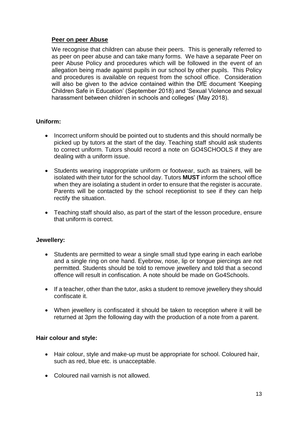#### **Peer on peer Abuse**

We recognise that children can abuse their peers. This is generally referred to as peer on peer abuse and can take many forms. We have a separate Peer on peer Abuse Policy and procedures which will be followed in the event of an allegation being made against pupils in our school by other pupils. This Policy and procedures is available on request from the school office. Consideration will also be given to the advice contained within the DfE document 'Keeping Children Safe in Education' (September 2018) and 'Sexual Violence and sexual harassment between children in schools and colleges' (May 2018).

#### **Uniform:**

- Incorrect uniform should be pointed out to students and this should normally be picked up by tutors at the start of the day. Teaching staff should ask students to correct uniform. Tutors should record a note on GO4SCHOOLS if they are dealing with a uniform issue.
- Students wearing inappropriate uniform or footwear, such as trainers, will be isolated with their tutor for the school day. Tutors **MUST** inform the school office when they are isolating a student in order to ensure that the register is accurate. Parents will be contacted by the school receptionist to see if they can help rectify the situation.
- Teaching staff should also, as part of the start of the lesson procedure, ensure that uniform is correct.

#### **Jewellery:**

- Students are permitted to wear a single small stud type earing in each earlobe and a single ring on one hand. Eyebrow, nose, lip or tongue piercings are not permitted. Students should be told to remove jewellery and told that a second offence will result in confiscation. A note should be made on Go4Schools.
- If a teacher, other than the tutor, asks a student to remove jewellery they should confiscate it.
- When jewellery is confiscated it should be taken to reception where it will be returned at 3pm the following day with the production of a note from a parent.

#### **Hair colour and style:**

- Hair colour, style and make-up must be appropriate for school. Coloured hair, such as red, blue etc. is unacceptable.
- Coloured nail varnish is not allowed.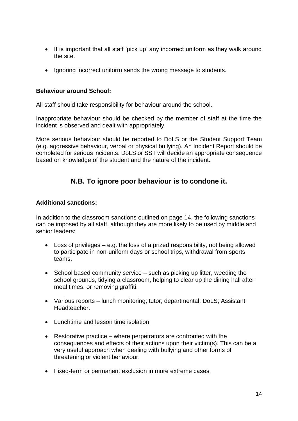- It is important that all staff 'pick up' any incorrect uniform as they walk around the site.
- Ignoring incorrect uniform sends the wrong message to students.

#### **Behaviour around School:**

All staff should take responsibility for behaviour around the school.

Inappropriate behaviour should be checked by the member of staff at the time the incident is observed and dealt with appropriately.

More serious behaviour should be reported to DoLS or the Student Support Team (e.g. aggressive behaviour, verbal or physical bullying). An Incident Report should be completed for serious incidents. DoLS or SST will decide an appropriate consequence based on knowledge of the student and the nature of the incident.

## **N.B. To ignore poor behaviour is to condone it.**

#### **Additional sanctions:**

In addition to the classroom sanctions outlined on page 14, the following sanctions can be imposed by all staff, although they are more likely to be used by middle and senior leaders:

- Loss of privileges e.g. the loss of a prized responsibility, not being allowed to participate in non-uniform days or school trips, withdrawal from sports teams.
- School based community service such as picking up litter, weeding the school grounds, tidying a classroom, helping to clear up the dining hall after meal times, or removing graffiti.
- Various reports lunch monitoring; tutor; departmental; DoLS; Assistant Headteacher.
- Lunchtime and lesson time isolation.
- Restorative practice where perpetrators are confronted with the consequences and effects of their actions upon their victim(s). This can be a very useful approach when dealing with bullying and other forms of threatening or violent behaviour.
- Fixed-term or permanent exclusion in more extreme cases.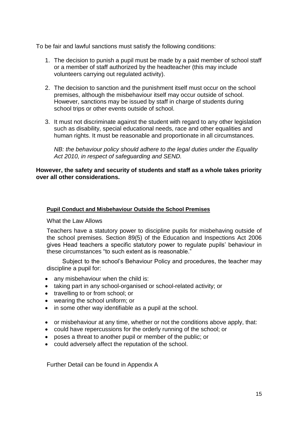To be fair and lawful sanctions must satisfy the following conditions:

- 1. The decision to punish a pupil must be made by a paid member of school staff or a member of staff authorized by the headteacher (this may include volunteers carrying out regulated activity).
- 2. The decision to sanction and the punishment itself must occur on the school premises, although the misbehaviour itself may occur outside of school. However, sanctions may be issued by staff in charge of students during school trips or other events outside of school.
- 3. It must not discriminate against the student with regard to any other legislation such as disability, special educational needs, race and other equalities and human rights. It must be reasonable and proportionate in all circumstances.

*NB: the behaviour policy should adhere to the legal duties under the Equality Act 2010, in respect of safeguarding and SEND.*

#### **However, the safety and security of students and staff as a whole takes priority over all other considerations.**

#### **Pupil Conduct and Misbehaviour Outside the School Premises**

What the Law Allows

Teachers have a statutory power to discipline pupils for misbehaving outside of the school premises. Section 89(5) of the Education and Inspections Act 2006 gives Head teachers a specific statutory power to regulate pupils' behaviour in these circumstances "to such extent as is reasonable."

Subject to the school's Behaviour Policy and procedures, the teacher may discipline a pupil for:

- any misbehaviour when the child is:
- taking part in any school-organised or school-related activity; or
- travelling to or from school; or
- wearing the school uniform; or
- in some other way identifiable as a pupil at the school.
- or misbehaviour at any time, whether or not the conditions above apply, that:
- could have repercussions for the orderly running of the school; or
- poses a threat to another pupil or member of the public; or
- could adversely affect the reputation of the school.

Further Detail can be found in Appendix A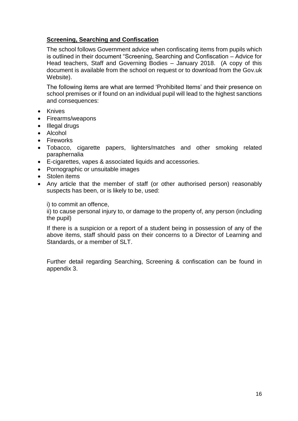#### **Screening, Searching and Confiscation**

The school follows Government advice when confiscating items from pupils which is outlined in their document "Screening, Searching and Confiscation – Advice for Head teachers, Staff and Governing Bodies – January 2018. (A copy of this document is available from the school on request or to download from the Gov.uk Website).

The following items are what are termed 'Prohibited Items' and their presence on school premises or if found on an individual pupil will lead to the highest sanctions and consequences:

- Knives
- Firearms/weapons
- Illegal drugs
- Alcohol
- Fireworks
- Tobacco, cigarette papers, lighters/matches and other smoking related paraphernalia
- E-cigarettes, vapes & associated liquids and accessories.
- Pornographic or unsuitable images
- Stolen items
- Any article that the member of staff (or other authorised person) reasonably suspects has been, or is likely to be, used:

i) to commit an offence,

ii) to cause personal injury to, or damage to the property of, any person (including the pupil)

If there is a suspicion or a report of a student being in possession of any of the above items, staff should pass on their concerns to a Director of Learning and Standards, or a member of SLT.

Further detail regarding Searching, Screening & confiscation can be found in appendix 3.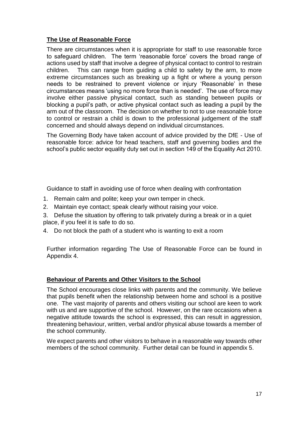#### **The Use of Reasonable Force**

There are circumstances when it is appropriate for staff to use reasonable force to safeguard children. The term 'reasonable force' covers the broad range of actions used by staff that involve a degree of physical contact to control to restrain children. This can range from guiding a child to safety by the arm, to more extreme circumstances such as breaking up a fight or where a young person needs to be restrained to prevent violence or injury 'Reasonable' in these circumstances means 'using no more force than is needed'. The use of force may involve either passive physical contact, such as standing between pupils or blocking a pupil's path, or active physical contact such as leading a pupil by the arm out of the classroom. The decision on whether to not to use reasonable force to control or restrain a child is down to the professional judgement of the staff concerned and should always depend on individual circumstances.

The Governing Body have taken account of advice provided by the DfE - Use of reasonable force: advice for head teachers, staff and governing bodies and the school's public sector equality duty set out in section 149 of the Equality Act 2010.

Guidance to staff in avoiding use of force when dealing with confrontation

- 1. Remain calm and polite; keep your own temper in check.
- 2. Maintain eye contact; speak clearly without raising your voice.
- 3. Defuse the situation by offering to talk privately during a break or in a quiet place, if you feel it is safe to do so.
- 4. Do not block the path of a student who is wanting to exit a room

Further information regarding The Use of Reasonable Force can be found in Appendix 4.

#### **Behaviour of Parents and Other Visitors to the School**

The School encourages close links with parents and the community. We believe that pupils benefit when the relationship between home and school is a positive one. The vast majority of parents and others visiting our school are keen to work with us and are supportive of the school. However, on the rare occasions when a negative attitude towards the school is expressed, this can result in aggression, threatening behaviour, written, verbal and/or physical abuse towards a member of the school community.

We expect parents and other visitors to behave in a reasonable way towards other members of the school community. Further detail can be found in appendix 5.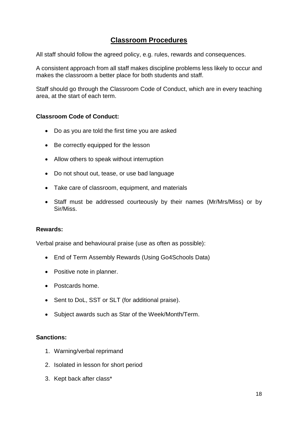# **Classroom Procedures**

All staff should follow the agreed policy, e.g. rules, rewards and consequences.

A consistent approach from all staff makes discipline problems less likely to occur and makes the classroom a better place for both students and staff.

Staff should go through the Classroom Code of Conduct, which are in every teaching area, at the start of each term.

#### **Classroom Code of Conduct:**

- Do as you are told the first time you are asked
- Be correctly equipped for the lesson
- Allow others to speak without interruption
- Do not shout out, tease, or use bad language
- Take care of classroom, equipment, and materials
- Staff must be addressed courteously by their names (Mr/Mrs/Miss) or by Sir/Miss.

#### **Rewards:**

Verbal praise and behavioural praise (use as often as possible):

- End of Term Assembly Rewards (Using Go4Schools Data)
- Positive note in planner.
- Postcards home.
- Sent to DoL, SST or SLT (for additional praise).
- Subject awards such as Star of the Week/Month/Term.

#### **Sanctions:**

- 1. Warning/verbal reprimand
- 2. Isolated in lesson for short period
- 3. Kept back after class\*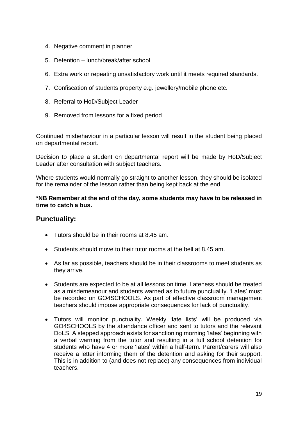- 4. Negative comment in planner
- 5. Detention lunch/break/after school
- 6. Extra work or repeating unsatisfactory work until it meets required standards.
- 7. Confiscation of students property e.g. jewellery/mobile phone etc.
- 8. Referral to HoD/Subject Leader
- 9. Removed from lessons for a fixed period

Continued misbehaviour in a particular lesson will result in the student being placed on departmental report.

Decision to place a student on departmental report will be made by HoD/Subject Leader after consultation with subject teachers.

Where students would normally go straight to another lesson, they should be isolated for the remainder of the lesson rather than being kept back at the end.

**\*NB Remember at the end of the day, some students may have to be released in time to catch a bus.**

## **Punctuality:**

- Tutors should be in their rooms at 8.45 am.
- Students should move to their tutor rooms at the bell at 8.45 am.
- As far as possible, teachers should be in their classrooms to meet students as they arrive.
- Students are expected to be at all lessons on time. Lateness should be treated as a misdemeanour and students warned as to future punctuality. 'Lates' must be recorded on GO4SCHOOLS. As part of effective classroom management teachers should impose appropriate consequences for lack of punctuality.
- Tutors will monitor punctuality. Weekly 'late lists' will be produced via GO4SCHOOLS by the attendance officer and sent to tutors and the relevant DoLS. A stepped approach exists for sanctioning morning 'lates' beginning with a verbal warning from the tutor and resulting in a full school detention for students who have 4 or more 'lates' within a half-term. Parent/carers will also receive a letter informing them of the detention and asking for their support. This is in addition to (and does not replace) any consequences from individual teachers.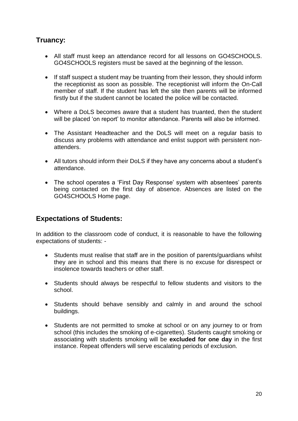# **Truancy:**

- All staff must keep an attendance record for all lessons on GO4SCHOOLS. GO4SCHOOLS registers must be saved at the beginning of the lesson.
- If staff suspect a student may be truanting from their lesson, they should inform the receptionist as soon as possible. The receptionist will inform the On-Call member of staff. If the student has left the site then parents will be informed firstly but if the student cannot be located the police will be contacted.
- Where a DoLS becomes aware that a student has truanted, then the student will be placed 'on report' to monitor attendance. Parents will also be informed.
- The Assistant Headteacher and the DoLS will meet on a regular basis to discuss any problems with attendance and enlist support with persistent nonattenders.
- All tutors should inform their DoLS if they have any concerns about a student's attendance.
- The school operates a 'First Day Response' system with absentees' parents being contacted on the first day of absence. Absences are listed on the GO4SCHOOLS Home page.

## **Expectations of Students:**

In addition to the classroom code of conduct, it is reasonable to have the following expectations of students: -

- Students must realise that staff are in the position of parents/guardians whilst they are in school and this means that there is no excuse for disrespect or insolence towards teachers or other staff.
- Students should always be respectful to fellow students and visitors to the school.
- Students should behave sensibly and calmly in and around the school buildings.
- Students are not permitted to smoke at school or on any journey to or from school (this includes the smoking of e-cigarettes). Students caught smoking or associating with students smoking will be **excluded for one day** in the first instance. Repeat offenders will serve escalating periods of exclusion.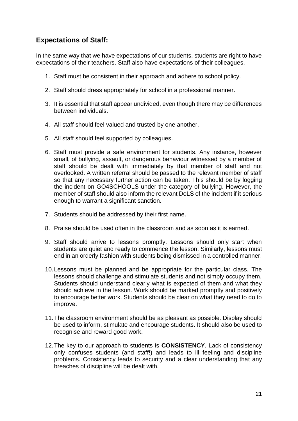# **Expectations of Staff:**

In the same way that we have expectations of our students, students are right to have expectations of their teachers. Staff also have expectations of their colleagues.

- 1. Staff must be consistent in their approach and adhere to school policy.
- 2. Staff should dress appropriately for school in a professional manner.
- 3. It is essential that staff appear undivided, even though there may be differences between individuals.
- 4. All staff should feel valued and trusted by one another.
- 5. All staff should feel supported by colleagues.
- 6. Staff must provide a safe environment for students. Any instance, however small, of bullying, assault, or dangerous behaviour witnessed by a member of staff should be dealt with immediately by that member of staff and not overlooked. A written referral should be passed to the relevant member of staff so that any necessary further action can be taken. This should be by logging the incident on GO4SCHOOLS under the category of bullying. However, the member of staff should also inform the relevant DoLS of the incident if it serious enough to warrant a significant sanction.
- 7. Students should be addressed by their first name.
- 8. Praise should be used often in the classroom and as soon as it is earned.
- 9. Staff should arrive to lessons promptly. Lessons should only start when students are quiet and ready to commence the lesson. Similarly, lessons must end in an orderly fashion with students being dismissed in a controlled manner.
- 10.Lessons must be planned and be appropriate for the particular class. The lessons should challenge and stimulate students and not simply occupy them. Students should understand clearly what is expected of them and what they should achieve in the lesson. Work should be marked promptly and positively to encourage better work. Students should be clear on what they need to do to improve.
- 11.The classroom environment should be as pleasant as possible. Display should be used to inform, stimulate and encourage students. It should also be used to recognise and reward good work.
- 12.The key to our approach to students is **CONSISTENCY**. Lack of consistency only confuses students (and staff!) and leads to ill feeling and discipline problems. Consistency leads to security and a clear understanding that any breaches of discipline will be dealt with.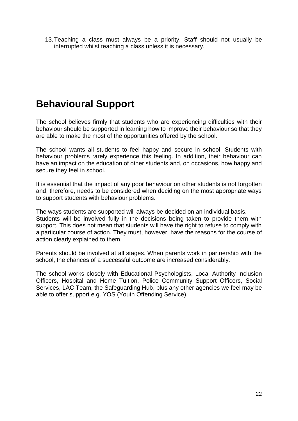13.Teaching a class must always be a priority. Staff should not usually be interrupted whilst teaching a class unless it is necessary.

# **Behavioural Support**

The school believes firmly that students who are experiencing difficulties with their behaviour should be supported in learning how to improve their behaviour so that they are able to make the most of the opportunities offered by the school.

The school wants all students to feel happy and secure in school. Students with behaviour problems rarely experience this feeling. In addition, their behaviour can have an impact on the education of other students and, on occasions, how happy and secure they feel in school.

It is essential that the impact of any poor behaviour on other students is not forgotten and, therefore, needs to be considered when deciding on the most appropriate ways to support students with behaviour problems.

The ways students are supported will always be decided on an individual basis. Students will be involved fully in the decisions being taken to provide them with support. This does not mean that students will have the right to refuse to comply with a particular course of action. They must, however, have the reasons for the course of action clearly explained to them.

Parents should be involved at all stages. When parents work in partnership with the school, the chances of a successful outcome are increased considerably.

The school works closely with Educational Psychologists, Local Authority Inclusion Officers, Hospital and Home Tuition, Police Community Support Officers, Social Services, LAC Team, the Safeguarding Hub, plus any other agencies we feel may be able to offer support e.g. YOS (Youth Offending Service).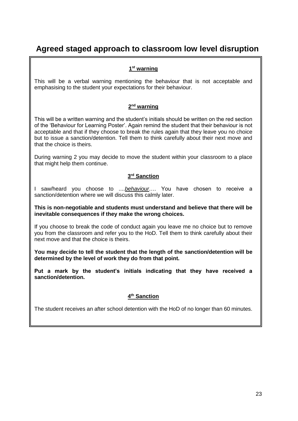# **Agreed staged approach to classroom low level disruption**

#### **1 st warning**

This will be a verbal warning mentioning the behaviour that is not acceptable and emphasising to the student your expectations for their behaviour.

#### **2 nd warning**

This will be a written warning and the student's initials should be written on the red section of the 'Behaviour for Learning Poster'. Again remind the student that their behaviour is not acceptable and that if they choose to break the rules again that they leave you no choice but to issue a sanction/detention. Tell them to think carefully about their next move and that the choice is theirs.

During warning 2 you may decide to move the student within your classroom to a place that might help them continue.

#### **3 rd Sanction**

I saw/heard you choose to ....*behaviour*…. You have chosen to receive a sanction/detention where we will discuss this calmly later.

**This is non-negotiable and students must understand and believe that there will be inevitable consequences if they make the wrong choices.**

If you choose to break the code of conduct again you leave me no choice but to remove you from the classroom and refer you to the HoD. Tell them to think carefully about their next move and that the choice is theirs.

**You may decide to tell the student that the length of the sanction/detention will be determined by the level of work they do from that point.**

**Put a mark by the student's initials indicating that they have received a sanction/detention.**

#### **4 th Sanction**

The student receives an after school detention with the HoD of no longer than 60 minutes.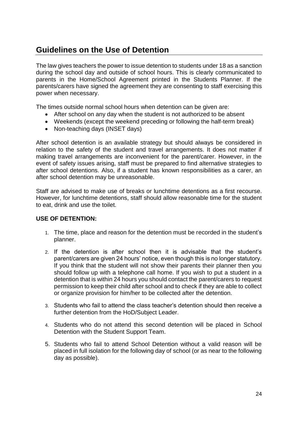# **Guidelines on the Use of Detention**

The law gives teachers the power to issue detention to students under 18 as a sanction during the school day and outside of school hours. This is clearly communicated to parents in the Home/School Agreement printed in the Students Planner. If the parents/carers have signed the agreement they are consenting to staff exercising this power when necessary.

The times outside normal school hours when detention can be given are:

- After school on any day when the student is not authorized to be absent
- Weekends (except the weekend preceding or following the half-term break)
- Non-teaching days (INSET days)

After school detention is an available strategy but should always be considered in relation to the safety of the student and travel arrangements. It does not matter if making travel arrangements are inconvenient for the parent/carer. However, in the event of safety issues arising, staff must be prepared to find alternative strategies to after school detentions. Also, if a student has known responsibilities as a carer, an after school detention may be unreasonable.

Staff are advised to make use of breaks or lunchtime detentions as a first recourse. However, for lunchtime detentions, staff should allow reasonable time for the student to eat, drink and use the toilet.

#### **USE OF DETENTION:**

- 1. The time, place and reason for the detention must be recorded in the student's planner.
- 2. If the detention is after school then it is advisable that the student's parent/carers are given 24 hours' notice, even though this is no longer statutory. If you think that the student will not show their parents their planner then you should follow up with a telephone call home. If you wish to put a student in a detention that is within 24 hours you should contact the parent/carers to request permission to keep their child after school and to check if they are able to collect or organize provision for him/her to be collected after the detention.
- 3. Students who fail to attend the class teacher's detention should then receive a further detention from the HoD/Subject Leader.
- 4. Students who do not attend this second detention will be placed in School Detention with the Student Support Team.
- 5. Students who fail to attend School Detention without a valid reason will be placed in full isolation for the following day of school (or as near to the following day as possible).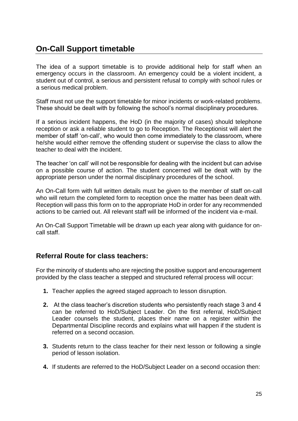# **On-Call Support timetable**

The idea of a support timetable is to provide additional help for staff when an emergency occurs in the classroom. An emergency could be a violent incident, a student out of control, a serious and persistent refusal to comply with school rules or a serious medical problem.

Staff must not use the support timetable for minor incidents or work-related problems. These should be dealt with by following the school's normal disciplinary procedures.

If a serious incident happens, the HoD (in the majority of cases) should telephone reception or ask a reliable student to go to Reception. The Receptionist will alert the member of staff 'on-call', who would then come immediately to the classroom, where he/she would either remove the offending student or supervise the class to allow the teacher to deal with the incident.

The teacher 'on call' will not be responsible for dealing with the incident but can advise on a possible course of action. The student concerned will be dealt with by the appropriate person under the normal disciplinary procedures of the school.

An On-Call form with full written details must be given to the member of staff on-call who will return the completed form to reception once the matter has been dealt with. Reception will pass this form on to the appropriate HoD in order for any recommended actions to be carried out. All relevant staff will be informed of the incident via e-mail.

An On-Call Support Timetable will be drawn up each year along with guidance for oncall staff.

## **Referral Route for class teachers:**

For the minority of students who are rejecting the positive support and encouragement provided by the class teacher a stepped and structured referral process will occur:

- **1.** Teacher applies the agreed staged approach to lesson disruption.
- **2.** At the class teacher's discretion students who persistently reach stage 3 and 4 can be referred to HoD/Subject Leader. On the first referral, HoD/Subject Leader counsels the student, places their name on a register within the Departmental Discipline records and explains what will happen if the student is referred on a second occasion.
- **3.** Students return to the class teacher for their next lesson or following a single period of lesson isolation.
- **4.** If students are referred to the HoD/Subject Leader on a second occasion then: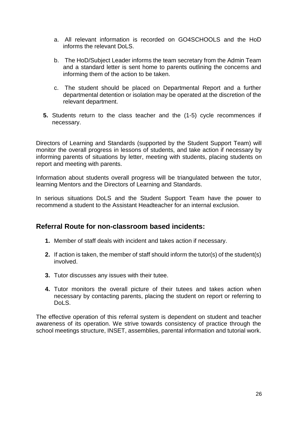- a. All relevant information is recorded on GO4SCHOOLS and the HoD informs the relevant DoLS.
- b. The HoD/Subject Leader informs the team secretary from the Admin Team and a standard letter is sent home to parents outlining the concerns and informing them of the action to be taken.
- c. The student should be placed on Departmental Report and a further departmental detention or isolation may be operated at the discretion of the relevant department.
- **5.** Students return to the class teacher and the (1-5) cycle recommences if necessary.

Directors of Learning and Standards (supported by the Student Support Team) will monitor the overall progress in lessons of students, and take action if necessary by informing parents of situations by letter, meeting with students, placing students on report and meeting with parents.

Information about students overall progress will be triangulated between the tutor, learning Mentors and the Directors of Learning and Standards.

In serious situations DoLS and the Student Support Team have the power to recommend a student to the Assistant Headteacher for an internal exclusion.

## **Referral Route for non-classroom based incidents:**

- **1.** Member of staff deals with incident and takes action if necessary.
- **2.** If action is taken, the member of staff should inform the tutor(s) of the student(s) involved.
- **3.** Tutor discusses any issues with their tutee.
- **4.** Tutor monitors the overall picture of their tutees and takes action when necessary by contacting parents, placing the student on report or referring to DoLS.

The effective operation of this referral system is dependent on student and teacher awareness of its operation. We strive towards consistency of practice through the school meetings structure, INSET, assemblies, parental information and tutorial work.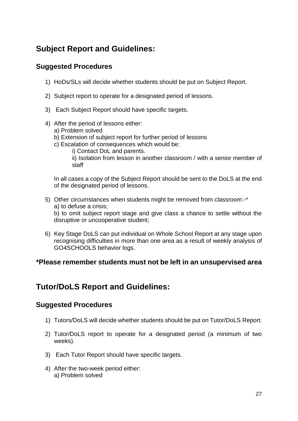# **Subject Report and Guidelines:**

# **Suggested Procedures**

- 1) HoDs/SLs will decide whether students should be put on Subject Report.
- 2) Subject report to operate for a designated period of lessons.
- 3) Each Subject Report should have specific targets.
- 4) After the period of lessons either:
	- a) Problem solved
	- b) Extension of subject report for further period of lessons
	- c) Escalation of consequences which would be:
		- i) Contact DoL and parents.

ii) Isolation from lesson in another classroom / with a senior member of staff

In all cases a copy of the Subject Report should be sent to the DoLS at the end of the designated period of lessons.

5) Other circumstances when students might be removed from classroom:-\* a) to defuse a crisis;

b) to omit subject report stage and give class a chance to settle without the disruptive or uncooperative student;

6) Key Stage DoLS can put individual on Whole School Report at any stage upon recognising difficulties in more than one area as a result of weekly analysis of GO4SCHOOLS behavior logs.

## **\*Please remember students must not be left in an unsupervised area**

# **Tutor/DoLS Report and Guidelines:**

## **Suggested Procedures**

- 1) Tutors/DoLS will decide whether students should be put on Tutor/DoLS Report.
- 2) Tutor/DoLS report to operate for a designated period (a minimum of two weeks).
- 3) Each Tutor Report should have specific targets.
- 4) After the two-week period either: a) Problem solved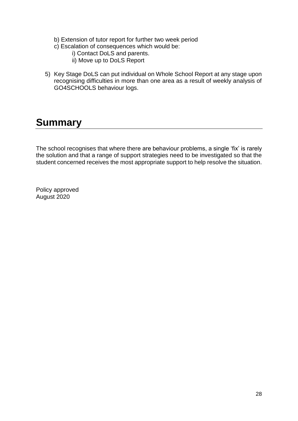- b) Extension of tutor report for further two week period
- c) Escalation of consequences which would be:
	- i) Contact DoLS and parents.
	- ii) Move up to DoLS Report
- 5) Key Stage DoLS can put individual on Whole School Report at any stage upon recognising difficulties in more than one area as a result of weekly analysis of GO4SCHOOLS behaviour logs.

# **Summary**

The school recognises that where there are behaviour problems, a single 'fix' is rarely the solution and that a range of support strategies need to be investigated so that the student concerned receives the most appropriate support to help resolve the situation.

Policy approved August 2020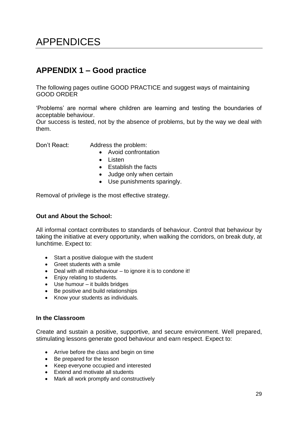# APPENDICES

# **APPENDIX 1 – Good practice**

The following pages outline GOOD PRACTICE and suggest ways of maintaining GOOD ORDER

'Problems' are normal where children are learning and testing the boundaries of acceptable behaviour.

Our success is tested, not by the absence of problems, but by the way we deal with them.

Don't React: Address the problem:

- Avoid confrontation
- Listen
- Establish the facts
- Judge only when certain
- Use punishments sparingly.

Removal of privilege is the most effective strategy.

#### **Out and About the School:**

All informal contact contributes to standards of behaviour. Control that behaviour by taking the initiative at every opportunity, when walking the corridors, on break duty, at lunchtime. Expect to:

- Start a positive dialogue with the student
- Greet students with a smile
- Deal with all misbehaviour to ignore it is to condone it!
- Enjoy relating to students.
- Use humour it builds bridges
- Be positive and build relationships
- Know your students as individuals.

#### **In the Classroom**

Create and sustain a positive, supportive, and secure environment. Well prepared, stimulating lessons generate good behaviour and earn respect. Expect to:

- Arrive before the class and begin on time
- Be prepared for the lesson
- Keep everyone occupied and interested
- Extend and motivate all students
- Mark all work promptly and constructively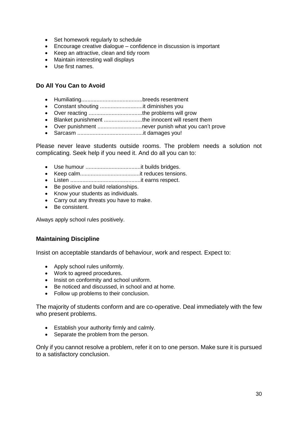- Set homework regularly to schedule
- Encourage creative dialogue confidence in discussion is important
- Keep an attractive, clean and tidy room
- Maintain interesting wall displays
- Use first names.

#### **Do All You Can to Avoid**

- Humiliating........................................breeds resentment
- Constant shouting ............................it diminishes you
- Over reacting ...................................the problems will grow
- Blanket punishment .........................the innocent will resent them
- Over punishment ................................never punish what you can't prove
- Sarcasm ...........................................it damages you!

Please never leave students outside rooms. The problem needs a solution not complicating. Seek help if you need it. And do all you can to:

- Use humour ....................................it builds bridges.
- Keep calm.......................................it reduces tensions.
- Listen ..............................................it earns respect.
- Be positive and build relationships.
- Know your students as individuals.
- Carry out any threats you have to make.
- Be consistent.

Always apply school rules positively.

#### **Maintaining Discipline**

Insist on acceptable standards of behaviour, work and respect. Expect to:

- Apply school rules uniformly.
- Work to agreed procedures.
- Insist on conformity and school uniform.
- Be noticed and discussed, in school and at home.
- Follow up problems to their conclusion.

The majority of students conform and are co-operative. Deal immediately with the few who present problems.

- Establish your authority firmly and calmly.
- Separate the problem from the person.

Only if you cannot resolve a problem, refer it on to one person. Make sure it is pursued to a satisfactory conclusion.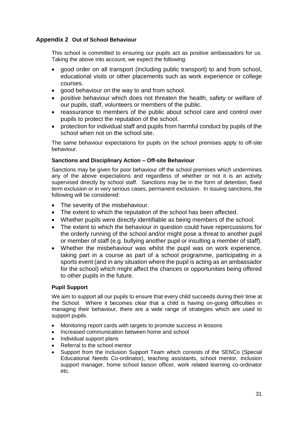#### **Appendix 2 Out of School Behaviour**

This school is committed to ensuring our pupils act as positive ambassadors for us. Taking the above into account, we expect the following:

- good order on all transport (including public transport) to and from school, educational visits or other placements such as work experience or college courses.
- good behaviour on the way to and from school.
- positive behaviour which does not threaten the health, safety or welfare of our pupils, staff, volunteers or members of the public.
- reassurance to members of the public about school care and control over pupils to protect the reputation of the school.
- protection for individual staff and pupils from harmful conduct by pupils of the school when not on the school site.

The same behaviour expectations for pupils on the school premises apply to off-site behaviour.

#### **Sanctions and Disciplinary Action – Off-site Behaviour**

Sanctions may be given for poor behaviour off the school premises which undermines any of the above expectations and regardless of whether or not it is an activity supervised directly by school staff. Sanctions may be in the form of detention, fixed term exclusion or in very serious cases, permanent exclusion. In issuing sanctions, the following will be considered:

- The severity of the misbehaviour.
- The extent to which the reputation of the school has been affected.
- Whether pupils were directly identifiable as being members of the school.
- The extent to which the behaviour in question could have repercussions for the orderly running of the school and/or might pose a threat to another pupil or member of staff (e.g. bullying another pupil or insulting a member of staff).
- Whether the misbehaviour was whilst the pupil was on work experience, taking part in a course as part of a school programme, participating in a sports event (and in any situation where the pupil is acting as an ambassador for the school) which might affect the chances or opportunities being offered to other pupils in the future.

#### **Pupil Support**

We aim to support all our pupils to ensure that every child succeeds during their time at the School. Where it becomes clear that a child is having on-going difficulties in managing their behaviour, there are a wide range of strategies which are used to support pupils.

- Monitoring report cards with targets to promote success in lessons
- Increased communication between home and school
- Individual support plans
- Referral to the school mentor
- Support from the Inclusion Support Team which consists of the SENCo (Special Educational Needs Co-ordinator), teaching assistants, school mentor, inclusion support manager, home school liaison officer, work related learning co-ordinator etc.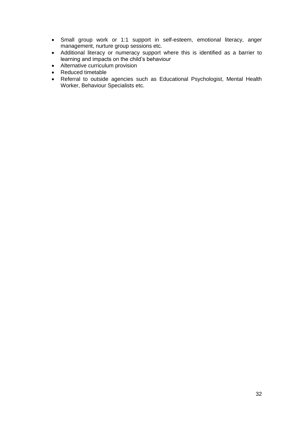- Small group work or 1:1 support in self-esteem, emotional literacy, anger management, nurture group sessions etc.
- Additional literacy or numeracy support where this is identified as a barrier to learning and impacts on the child's behaviour
- Alternative curriculum provision
- Reduced timetable
- Referral to outside agencies such as Educational Psychologist, Mental Health Worker, Behaviour Specialists etc.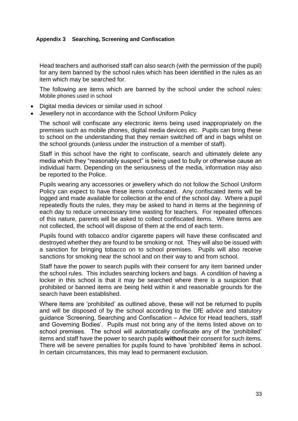#### **Appendix 3 Searching, Screening and Confiscation**

Head teachers and authorised staff can also search (with the permission of the pupil) for any item banned by the school rules which has been identified in the rules as an item which may be searched for.

The following are items which are banned by the school under the school rules: Mobile phones used in school

- Digital media devices or similar used in school
- Jewellery not in accordance with the School Uniform Policy

The school will confiscate any electronic items being used inappropriately on the premises such as mobile phones, digital media devices etc. Pupils can bring these to school on the understanding that they remain switched off and in bags whilst on the school grounds (unless under the instruction of a member of staff).

Staff in this school have the right to confiscate, search and ultimately delete any media which they "reasonably suspect" is being used to bully or otherwise cause an individual harm. Depending on the seriousness of the media, information may also be reported to the Police.

Pupils wearing any accessories or jewellery which do not follow the School Uniform Policy can expect to have these items confiscated. Any confiscated items will be logged and made available for collection at the end of the school day. Where a pupil repeatedly flouts the rules, they may be asked to hand in items at the beginning of each day to reduce unnecessary time wasting for teachers. For repeated offences of this nature, parents will be asked to collect confiscated items. Where items are not collected, the school will dispose of them at the end of each term.

Pupils found with tobacco and/or cigarette papers will have these confiscated and destroyed whether they are found to be smoking or not. They will also be issued with a sanction for bringing tobacco on to school premises. Pupils will also receive sanctions for smoking near the school and on their way to and from school.

Staff have the power to search pupils with their consent for any item banned under the school rules. This includes searching lockers and bags. A condition of having a locker in this school is that it may be searched where there is a suspicion that prohibited or banned items are being held within it and reasonable grounds for the search have been established.

Where items are 'prohibited' as outlined above, these will not be returned to pupils and will be disposed of by the school according to the DfE advice and statutory guidance 'Screening, Searching and Confiscation – Advice for Head teachers, staff and Governing Bodies'. Pupils must not bring any of the items listed above on to school premises. The school will automatically confiscate any of the 'prohibited' items and staff have the power to search pupils **without** their consent for such items. There will be severe penalties for pupils found to have 'prohibited' items in school. In certain circumstances, this may lead to permanent exclusion.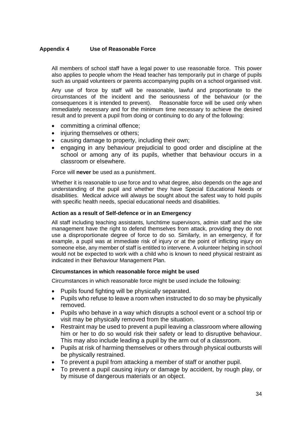#### **Appendix 4 Use of Reasonable Force**

All members of school staff have a legal power to use reasonable force. This power also applies to people whom the Head teacher has temporarily put in charge of pupils such as unpaid volunteers or parents accompanying pupils on a school organised visit.

Any use of force by staff will be reasonable, lawful and proportionate to the circumstances of the incident and the seriousness of the behaviour (or the consequences it is intended to prevent). Reasonable force will be used only when immediately necessary and for the minimum time necessary to achieve the desired result and to prevent a pupil from doing or continuing to do any of the following:

- committing a criminal offence;
- injuring themselves or others;
- causing damage to property, including their own;
- engaging in any behaviour prejudicial to good order and discipline at the school or among any of its pupils, whether that behaviour occurs in a classroom or elsewhere.

Force will **never** be used as a punishment.

Whether it is reasonable to use force and to what degree, also depends on the age and understanding of the pupil and whether they have Special Educational Needs or disabilities. Medical advice will always be sought about the safest way to hold pupils with specific health needs, special educational needs and disabilities.

#### **Action as a result of Self-defence or in an Emergency**

All staff including teaching assistants, lunchtime supervisors, admin staff and the site management have the right to defend themselves from attack, providing they do not use a disproportionate degree of force to do so. Similarly, in an emergency, if for example, a pupil was at immediate risk of injury or at the point of inflicting injury on someone else, any member of staff is entitled to intervene. A volunteer helping in school would not be expected to work with a child who is known to need physical restraint as indicated in their Behaviour Management Plan.

#### **Circumstances in which reasonable force might be used**

Circumstances in which reasonable force might be used include the following:

- Pupils found fighting will be physically separated.
- Pupils who refuse to leave a room when instructed to do so may be physically removed.
- Pupils who behave in a way which disrupts a school event or a school trip or visit may be physically removed from the situation.
- Restraint may be used to prevent a pupil leaving a classroom where allowing him or her to do so would risk their safety or lead to disruptive behaviour. This may also include leading a pupil by the arm out of a classroom.
- Pupils at risk of harming themselves or others through physical outbursts will be physically restrained.
- To prevent a pupil from attacking a member of staff or another pupil.
- To prevent a pupil causing injury or damage by accident, by rough play, or by misuse of dangerous materials or an object.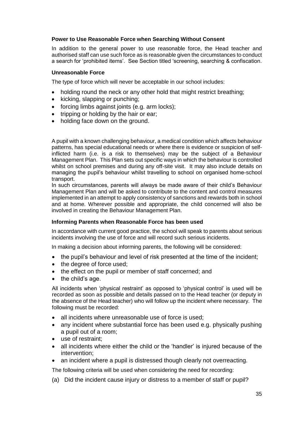#### **Power to Use Reasonable Force when Searching Without Consent**

In addition to the general power to use reasonable force, the Head teacher and authorised staff can use such force as is reasonable given the circumstances to conduct a search for 'prohibited items'. See Section titled 'screening, searching & confiscation.

#### **Unreasonable Force**

The type of force which will never be acceptable in our school includes:

- holding round the neck or any other hold that might restrict breathing:
- kicking, slapping or punching;
- forcing limbs against joints (e.g. arm locks);
- tripping or holding by the hair or ear;
- holding face down on the ground.

A pupil with a known challenging behaviour, a medical condition which affects behaviour patterns, has special educational needs or where there is evidence or suspicion of selfinflicted harm (i.e. is a risk to themselves) may be the subject of a Behaviour Management Plan. This Plan sets out specific ways in which the behaviour is controlled whilst on school premises and during any off-site visit. It may also include details on managing the pupil's behaviour whilst travelling to school on organised home-school transport.

In such circumstances, parents will always be made aware of their child's Behaviour Management Plan and will be asked to contribute to the content and control measures implemented in an attempt to apply consistency of sanctions and rewards both in school and at home. Wherever possible and appropriate, the child concerned will also be involved in creating the Behaviour Management Plan.

#### **Informing Parents when Reasonable Force has been used**

In accordance with current good practice, the school will speak to parents about serious incidents involving the use of force and will record such serious incidents.

In making a decision about informing parents, the following will be considered:

- the pupil's behaviour and level of risk presented at the time of the incident;
- the degree of force used:
- the effect on the pupil or member of staff concerned; and
- the child's age.

All incidents when 'physical restraint' as opposed to 'physical control' is used will be recorded as soon as possible and details passed on to the Head teacher (or deputy in the absence of the Head teacher) who will follow up the incident where necessary. The following must be recorded:

- all incidents where unreasonable use of force is used:
- any incident where substantial force has been used e.g. physically pushing a pupil out of a room;
- use of restraint;
- all incidents where either the child or the 'handler' is injured because of the intervention;
- an incident where a pupil is distressed though clearly not overreacting.

The following criteria will be used when considering the need for recording:

(a) Did the incident cause injury or distress to a member of staff or pupil?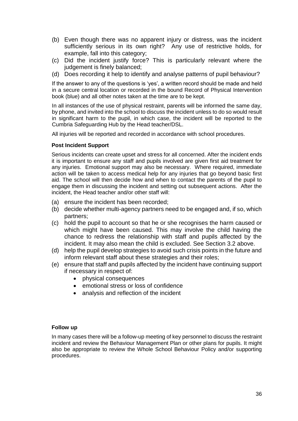- (b) Even though there was no apparent injury or distress, was the incident sufficiently serious in its own right? Any use of restrictive holds, for example, fall into this category;
- (c) Did the incident justify force? This is particularly relevant where the judgement is finely balanced;
- (d) Does recording it help to identify and analyse patterns of pupil behaviour?

If the answer to any of the questions is 'yes', a written record should be made and held in a secure central location or recorded in the bound Record of Physical Intervention book (blue) and all other notes taken at the time are to be kept.

In all instances of the use of physical restraint, parents will be informed the same day, by phone, and invited into the school to discuss the incident unless to do so would result in significant harm to the pupil, in which case, the incident will be reported to the Cumbria Safeguarding Hub by the Head teacher/DSL.

All injuries will be reported and recorded in accordance with school procedures.

#### **Post Incident Support**

Serious incidents can create upset and stress for all concerned. After the incident ends it is important to ensure any staff and pupils involved are given first aid treatment for any injuries. Emotional support may also be necessary. Where required, immediate action will be taken to access medical help for any injuries that go beyond basic first aid. The school will then decide how and when to contact the parents of the pupil to engage them in discussing the incident and setting out subsequent actions. After the incident, the Head teacher and/or other staff will:

- (a) ensure the incident has been recorded;
- (b) decide whether multi-agency partners need to be engaged and, if so, which partners;
- (c) hold the pupil to account so that he or she recognises the harm caused or which might have been caused. This may involve the child having the chance to redress the relationship with staff and pupils affected by the incident. It may also mean the child is excluded. See Section 3.2 above.
- (d) help the pupil develop strategies to avoid such crisis points in the future and inform relevant staff about these strategies and their roles;
- (e) ensure that staff and pupils affected by the incident have continuing support if necessary in respect of:
	- physical consequences
	- emotional stress or loss of confidence
	- analysis and reflection of the incident

#### **Follow up**

In many cases there will be a follow-up meeting of key personnel to discuss the restraint incident and review the Behaviour Management Plan or other plans for pupils. It might also be appropriate to review the Whole School Behaviour Policy and/or supporting procedures.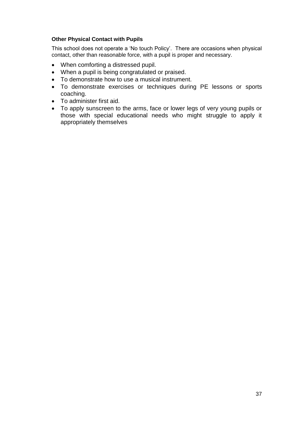#### **Other Physical Contact with Pupils**

This school does not operate a 'No touch Policy'. There are occasions when physical contact, other than reasonable force, with a pupil is proper and necessary.

- When comforting a distressed pupil.
- When a pupil is being congratulated or praised.
- To demonstrate how to use a musical instrument.
- To demonstrate exercises or techniques during PE lessons or sports coaching.
- To administer first aid.
- To apply sunscreen to the arms, face or lower legs of very young pupils or those with special educational needs who might struggle to apply it appropriately themselves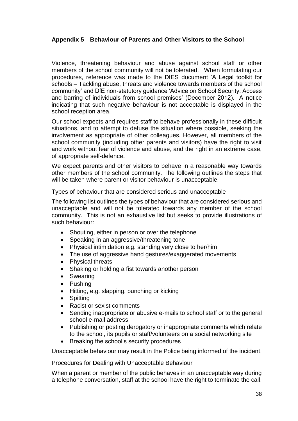#### **Appendix 5 Behaviour of Parents and Other Visitors to the School**

Violence, threatening behaviour and abuse against school staff or other members of the school community will not be tolerated. When formulating our procedures, reference was made to the DfES document 'A Legal toolkit for schools – Tackling abuse, threats and violence towards members of the school community' and DfE non-statutory guidance 'Advice on School Security: Access and barring of individuals from school premises' (December 2012). A notice indicating that such negative behaviour is not acceptable is displayed in the school reception area.

Our school expects and requires staff to behave professionally in these difficult situations, and to attempt to defuse the situation where possible, seeking the involvement as appropriate of other colleagues. However, all members of the school community (including other parents and visitors) have the right to visit and work without fear of violence and abuse, and the right in an extreme case, of appropriate self-defence.

We expect parents and other visitors to behave in a reasonable way towards other members of the school community. The following outlines the steps that will be taken where parent or visitor behaviour is unacceptable.

Types of behaviour that are considered serious and unacceptable

The following list outlines the types of behaviour that are considered serious and unacceptable and will not be tolerated towards any member of the school community. This is not an exhaustive list but seeks to provide illustrations of such behaviour:

- Shouting, either in person or over the telephone
- Speaking in an aggressive/threatening tone
- Physical intimidation e.g. standing very close to her/him
- The use of aggressive hand gestures/exaggerated movements
- Physical threats
- Shaking or holding a fist towards another person
- Swearing
- Pushing
- Hitting, e.g. slapping, punching or kicking
- Spitting
- Racist or sexist comments
- Sending inappropriate or abusive e-mails to school staff or to the general school e-mail address
- Publishing or posting derogatory or inappropriate comments which relate to the school, its pupils or staff/volunteers on a social networking site
- Breaking the school's security procedures

Unacceptable behaviour may result in the Police being informed of the incident.

Procedures for Dealing with Unacceptable Behaviour

When a parent or member of the public behaves in an unacceptable way during a telephone conversation, staff at the school have the right to terminate the call.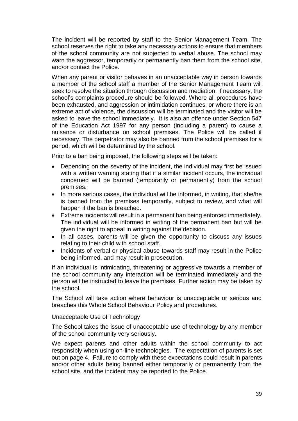The incident will be reported by staff to the Senior Management Team. The school reserves the right to take any necessary actions to ensure that members of the school community are not subjected to verbal abuse. The school may warn the aggressor, temporarily or permanently ban them from the school site, and/or contact the Police.

When any parent or visitor behaves in an unacceptable way in person towards a member of the school staff a member of the Senior Management Team will seek to resolve the situation through discussion and mediation. If necessary, the school's complaints procedure should be followed. Where all procedures have been exhausted, and aggression or intimidation continues, or where there is an extreme act of violence, the discussion will be terminated and the visitor will be asked to leave the school immediately. It is also an offence under Section 547 of the Education Act 1997 for any person (including a parent) to cause a nuisance or disturbance on school premises. The Police will be called if necessary. The perpetrator may also be banned from the school premises for a period, which will be determined by the school.

Prior to a ban being imposed, the following steps will be taken:

- Depending on the severity of the incident, the individual may first be issued with a written warning stating that if a similar incident occurs, the individual concerned will be banned (temporarily or permanently) from the school premises.
- In more serious cases, the individual will be informed, in writing, that she/he is banned from the premises temporarily, subject to review, and what will happen if the ban is breached.
- Extreme incidents will result in a permanent ban being enforced immediately. The individual will be informed in writing of the permanent ban but will be given the right to appeal in writing against the decision.
- In all cases, parents will be given the opportunity to discuss any issues relating to their child with school staff.
- Incidents of verbal or physical abuse towards staff may result in the Police being informed, and may result in prosecution.

If an individual is intimidating, threatening or aggressive towards a member of the school community any interaction will be terminated immediately and the person will be instructed to leave the premises. Further action may be taken by the school.

The School will take action where behaviour is unacceptable or serious and breaches this Whole School Behaviour Policy and procedures.

Unacceptable Use of Technology

The School takes the issue of unacceptable use of technology by any member of the school community very seriously.

We expect parents and other adults within the school community to act responsibly when using on-line technologies. The expectation of parents is set out on page 4. Failure to comply with these expectations could result in parents and/or other adults being banned either temporarily or permanently from the school site, and the incident may be reported to the Police.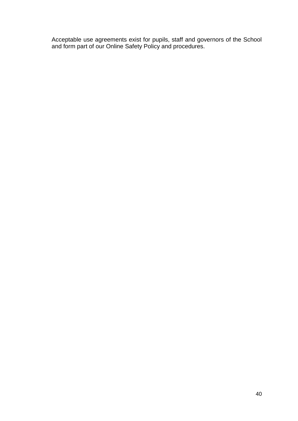Acceptable use agreements exist for pupils, staff and governors of the School and form part of our Online Safety Policy and procedures.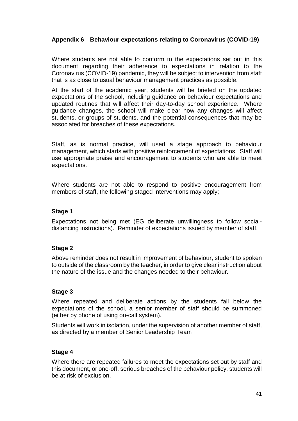#### **Appendix 6 Behaviour expectations relating to Coronavirus (COVID-19)**

Where students are not able to conform to the expectations set out in this document regarding their adherence to expectations in relation to the Coronavirus (COVID-19) pandemic, they will be subject to intervention from staff that is as close to usual behaviour management practices as possible.

At the start of the academic year, students will be briefed on the updated expectations of the school, including guidance on behaviour expectations and updated routines that will affect their day-to-day school experience. Where guidance changes, the school will make clear how any changes will affect students, or groups of students, and the potential consequences that may be associated for breaches of these expectations.

Staff, as is normal practice, will used a stage approach to behaviour management, which starts with positive reinforcement of expectations. Staff will use appropriate praise and encouragement to students who are able to meet expectations.

Where students are not able to respond to positive encouragement from members of staff, the following staged interventions may apply;

#### **Stage 1**

Expectations not being met (EG deliberate unwillingness to follow socialdistancing instructions). Reminder of expectations issued by member of staff.

#### **Stage 2**

Above reminder does not result in improvement of behaviour, student to spoken to outside of the classroom by the teacher, in order to give clear instruction about the nature of the issue and the changes needed to their behaviour.

#### **Stage 3**

Where repeated and deliberate actions by the students fall below the expectations of the school, a senior member of staff should be summoned (either by phone of using on-call system).

Students will work in isolation, under the supervision of another member of staff, as directed by a member of Senior Leadership Team

#### **Stage 4**

Where there are repeated failures to meet the expectations set out by staff and this document, or one-off, serious breaches of the behaviour policy, students will be at risk of exclusion.